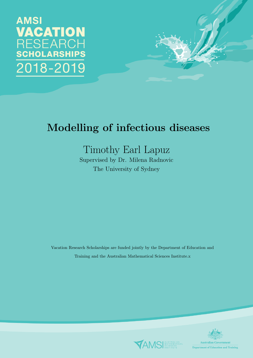# **AMSI VACATION RESEARCH SCHOLARSHIPS** 2018-2019



# Modelling of infectious diseases

# Timothy Earl Lapuz

Supervised by Dr. Milena Radnovic The University of Sydney

Vacation Research Scholarships are funded jointly by the Department of Education and Training and the Australian Mathematical Sciences Institute.x



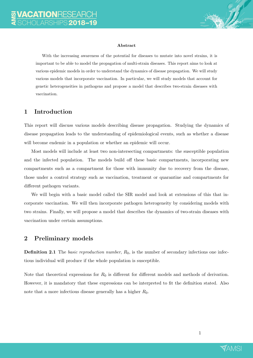

#### Abstract

With the increasing awareness of the potential for diseases to mutate into novel strains, it is important to be able to model the propagation of multi-strain diseases. This report aims to look at various epidemic models in order to understand the dynamics of disease propagation. We will study various models that incorporate vaccination. In particular, we will study models that account for genetic heterogeneities in pathogens and propose a model that describes two-strain diseases with vaccination.

### 1 Introduction

This report will discuss various models describing disease propagation. Studying the dynamics of disease propagation leads to the understanding of epidemiological events, such as whether a disease will become endemic in a population or whether an epidemic will occur.

Most models will include at least two non-intersecting compartments: the susceptible population and the infected population. The models build off these basic compartments, incorporating new compartments such as a compartment for those with immunity due to recovery from the disease, those under a control strategy such as vaccination, treatment or quarantine and compartments for different pathogen variants.

We will begin with a basic model called the SIR model and look at extensions of this that incorporate vaccination. We will then incorporate pathogen heterogeneity by considering models with two strains. Finally, we will propose a model that describes the dynamics of two-strain diseases with vaccination under certain assumptions.

#### 2 Preliminary models

**Definition 2.1** The *basic reproduction number*,  $R_0$ , is the number of secondary infections one infectious individual will produce if the whole population is susceptible.

Note that theoretical expressions for  $R_0$  is different for different models and methods of derivation. However, it is mandatory that these expressions can be interpreted to fit the definition stated. Also note that a more infectious disease generally has a higher  $R_0$ .

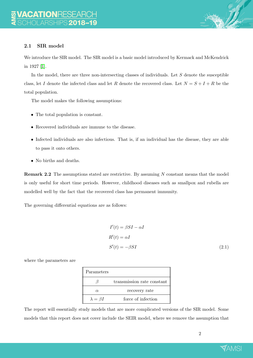

### 2.1 SIR model

We introduce the SIR model. The SIR model is a basic model introduced by Kermack and McKendrick in 1927 [\[1\]](#page-16-0).

In the model, there are three non-intersecting classes of individuals. Let  $S$  denote the susceptible class, let I denote the infected class and let R denote the recovered class. Let  $N = S + I + R$  be the total population.

The model makes the following assumptions:

- The total population is constant.
- Recovered individuals are immune to the disease.
- Infected individuals are also infectious. That is, if an individual has the disease, they are able to pass it onto others.
- No births and deaths.

Remark 2.2 The assumptions stated are restrictive. By assuming N constant means that the model is only useful for short time periods. However, childhood diseases such as smallpox and rubella are modelled well by the fact that the recovered class has permanent immunity.

The governing differential equations are as follows:

$$
I'(t) = \beta SI - \alpha I
$$
  
\n
$$
R'(t) = \alpha I
$$
  
\n
$$
S'(t) = -\beta SI
$$
\n(2.1)

where the parameters are

| Parameters          |                            |
|---------------------|----------------------------|
|                     | transmission rate constant |
| $\alpha$            | recovery rate              |
| $\lambda = \beta I$ | force of infection         |

The report will essentially study models that are more complicated versions of the SIR model. Some models that this report does not cover include the SEIR model, where we remove the assumption that

<span id="page-2-0"></span>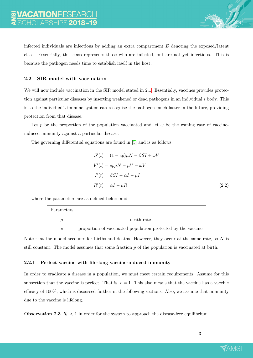infected individuals are infectious by adding an extra compartment  $E$  denoting the exposed/latent class. Essentially, this class represents those who are infected, but are not yet infectious. This is because the pathogen needs time to establish itself in the host.

#### 2.2 SIR model with vaccination

We will now include vaccination in the SIR model stated in [2.1.](#page-2-0) Essentially, vaccines provides protection against particular diseases by inserting weakened or dead pathogens in an individual's body. This is so the individual's immune system can recognise the pathogen much faster in the future, providing protection from that disease.

Let p be the proportion of the population vaccinated and let  $\omega$  be the waning rate of vaccineinduced immunity against a particular disease.

The governing differential equations are found in [\[5\]](#page-16-1) and is as follows:

<span id="page-3-0"></span>
$$
S'(t) = (1 - ep)\mu N - \beta SI + \omega V
$$
  
\n
$$
V'(t) = ep\mu N - \mu V - \omega V
$$
  
\n
$$
I'(t) = \beta SI - \alpha I - \mu I
$$
  
\n
$$
R'(t) = \alpha I - \mu R
$$
\n(2.2)

where the parameters are as defined before and

| Parameters |                                                              |
|------------|--------------------------------------------------------------|
|            | death rate                                                   |
| $\epsilon$ | proportion of vaccinated population protected by the vaccine |

Note that the model accounts for births and deaths. However, they occur at the same rate, so  $N$  is still constant. The model assumes that some fraction  $p$  of the population is vaccinated at birth.

#### 2.2.1 Perfect vaccine with life-long vaccine-induced immunity

In order to eradicate a disease in a population, we must meet certain requirements. Assume for this subsection that the vaccine is perfect. That is,  $e = 1$ . This also means that the vaccine has a vaccine efficacy of 100%, which is discussed further in the following sections. Also, we assume that immunity due to the vaccine is lifelong.

**Observation 2.3**  $R_0 < 1$  in order for the system to approach the disease-free equilibrium.

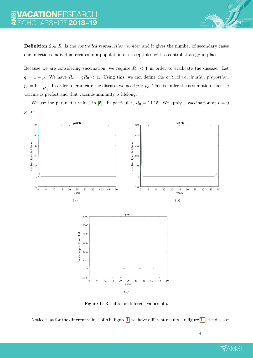**Definition 2.4**  $R_c$  is the *controlled reproduction number* and it gives the number of secondary cases one infectious individual creates in a population of susceptibles with a control strategy in place.

Because we are considering vaccination, we require  $R_c < 1$  in order to eradicate the disease. Let  $q = 1 - p$ . We have  $R_c = qR_0 < 1$ . Using this, we can define the *critical vaccination proportion*,  $p_c = 1 - \frac{1}{R}$  $\frac{1}{R_0}$ . In order to eradicate the disease, we need  $p > p_c$ . This is under the assumption that the vaccine is perfect and that vaccine-immunity is lifelong.

<span id="page-4-2"></span>We use the parameter values in [\[5\]](#page-16-1). In particular,  $R_0 = 11.15$ . We apply a vaccination at  $t = 0$ years.

<span id="page-4-3"></span><span id="page-4-1"></span><span id="page-4-0"></span>

Figure 1: Results for different values of p

Notice that for the different values of  $p$  in figure [1,](#page-4-0) we have different results. In figure [1a,](#page-4-1) the disease

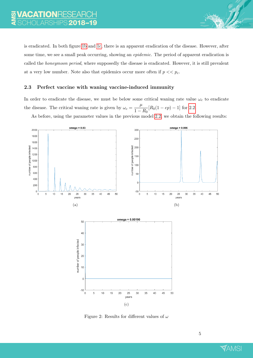is eradicated. In both figure [1b](#page-4-2) and [1c,](#page-4-3) there is an apparent eradication of the disease. However, after some time, we see a small peak occurring, showing an *epidemic*. The period of apparent eradication is called the honeymoon period, where supposedly the disease is eradicated. However, it is still prevalent at a very low number. Note also that epidemics occur more often if  $p \ll p_c$ .

#### 2.3 Perfect vaccine with waning vaccine-induced immunity

In order to eradicate the disease, we must be below some critical waning rate value  $\omega_c$  to eradicate the disease. The critical waning rate is given by  $\omega_c = \frac{\mu}{1 - \mu}$  $\frac{\mu}{1-R_0}[R_0(1-ep)-1]$  for [2.2.](#page-3-0)

As before, using the parameter values in the previous model [2.2,](#page-3-0) we obtain the following results:



Figure 2: Results for different values of  $\omega$ 

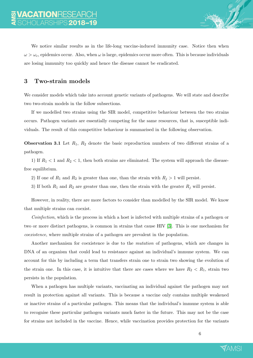We notice similar results as in the life-long vaccine-induced immunity case. Notice then when  $\omega > \omega_c$ , epidemics occur. Also, when  $\omega$  is large, epidemics occur more often. This is because individuals are losing immunity too quickly and hence the disease cannot be eradicated.

### 3 Two-strain models

We consider models which take into account genetic variants of pathogens. We will state and describe two two-strain models in the follow subsections.

If we modelled two strains using the SIR model, competitive behaviour between the two strains occurs. Pathogen variants are essentially competing for the same resources, that is, susceptible individuals. The result of this competitive behaviour is summarised in the following observation.

**Observation 3.1** Let  $R_1$ ,  $R_2$  denote the basic reproduction numbers of two different strains of a pathogen.

1) If  $R_1 < 1$  and  $R_2 < 1$ , then both strains are eliminated. The system will approach the diseasefree equilibrium.

- 2) If one of  $R_1$  and  $R_2$  is greater than one, than the strain with  $R_j > 1$  will persist.
- 3) If both  $R_1$  and  $R_2$  are greater than one, then the strain with the greater  $R_j$  will persist.

However, in reality, there are more factors to consider than modelled by the SIR model. We know that multiple strains can coexist.

Coinfection, which is the process in which a host is infected with multiple strains of a pathogen or two or more distinct pathogens, is common in strains that cause HIV [\[3\]](#page-16-2). This is one mechanism for coexistence, where multiple strains of a pathogen are prevalent in the population.

Another mechanism for coexistence is due to the mutation of pathogens, which are changes in DNA of an organism that could lead to resistance against an individual's immune system. We can account for this by including a term that transfers strain one to strain two showing the evolution of the strain one. In this case, it is intuitive that there are cases where we have  $R_2 < R_1$ , strain two persists in the population.

When a pathogen has multiple variants, vaccinating an individual against the pathogen may not result in protection against all variants. This is because a vaccine only contains multiple weakened or inactive strains of a particular pathogen. This means that the individual's immune system is able to recognise these particular pathogen variants much faster in the future. This may not be the case for strains not included in the vaccine. Hence, while vaccination provides protection for the variants

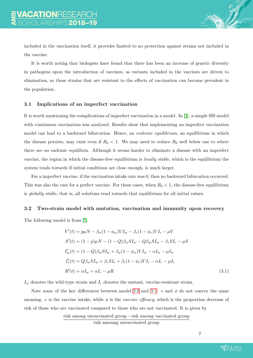included in the vaccination itself, it provides limited to no protection against strains not included in the vaccine.

It is worth noting that biologists have found that there has been an increase of genetic diversity in pathogens upon the introduction of vaccines, as variants included in the vaccines are driven to elimination, so those strains that are resistant to the effects of vaccination can become prevalent in the population.

#### 3.1 Implications of an imperfect vaccination

It is worth mentioning the complications of imperfect vaccination in a model. In [\[2\]](#page-16-3), a simple SIS model with continuous vaccination was analysed. Results show that implementing an imperfect vaccination model can lead to a backward bifurcation. Hence, an *endemic equilibrium*, an equilibrium in which the disease persists, may exist even if  $R_0 < 1$ . We may need to reduce  $R_0$  well below one to where there are no endemic equilibria. Although it seems harder to eliminate a disease with an imperfect vaccine, the region in which the disease-free equilibrium is locally stable, which is the equilibrium the system tends towards if initial conditions are close enough, is much larger.

For a imperfect vaccine, if the vaccination intake rate was 0, then no backward bifurcation occurred. This was also the case for a perfect vaccine. For these cases, when  $R_0 < 1$ , the disease-free equilibrium is globally stable, that is, all solutions tend towards that equilibrium for all initial values.

#### 3.2 Two-strain model with mutation, vaccination and immunity upon recovery

The following model is from [\[5\]](#page-16-1).

$$
V'(t) = p\mu N - \beta_w (1 - \phi_w) V I_w - \beta_r (1 - \phi_r) V I_r - \mu V
$$
  
\n
$$
S'(t) = (1 - p)\mu N - (1 - Q)\beta_w S I_w - Q\beta_w S I_w - \beta_r S I_r - \mu S
$$
  
\n
$$
I'_w(t) = (1 - Q)\beta_w S I_w + \beta_w (1 - \phi_w) V I_w - \alpha I_w - \mu I_w
$$
  
\n
$$
I'_r(t) = Q\beta_w S I_w + \beta_r S I_r + \beta_r (1 - \phi_r) V I_r - \alpha I_r - \mu I_r
$$
  
\n
$$
R'(t) = \alpha I_w + \alpha I_r - \mu R
$$
\n(3.1)

 $I_w$  denotes the wild-type strain and  $I_r$  denotes the mutant, vaccine-resistant strain.

Note some of the key differences between model [2.2](#page-3-0) and [3.1.](#page-7-0) e and  $\phi$  do not convey the same meaning. e is the vaccine intake, while  $\phi$  is the vaccine efficacy, which is the proportion decrease of risk of those who are vaccinated compared to those who are not vaccinated. It is given by

risk among unvaccinated group - risk among vaccinated group

risk amoung unvaccinated group

<span id="page-7-0"></span>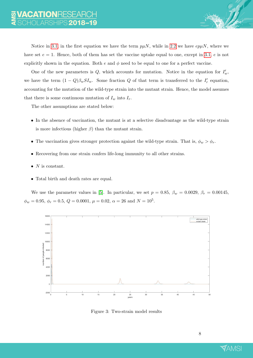Notice in [3.1,](#page-7-0) in the first equation we have the term  $p\mu N$ , while in [2.2](#page-3-0) we have  $ep\mu N$ , where we have set  $e = 1$ . Hence, both of them has set the vaccine uptake equal to one, except in [3.1,](#page-7-0) e is not explicitly shown in the equation. Both  $e$  and  $\phi$  need to be equal to one for a perfect vaccine.

One of the new parameters is  $Q$ , which accounts for mutation. Notice in the equation for  $I'_w$ , we have the term  $(1 - Q)\beta_w SI_w$ . Some fraction Q of that term is transferred to the  $I'_r$  equation, accounting for the mutation of the wild-type strain into the mutant strain. Hence, the model assumes that there is some continuous mutation of  $I_w$  into  $I_r$ .

The other assumptions are stated below:

- In the absence of vaccination, the mutant is at a selective disadvantage as the wild-type strain is more infectious (higher  $\beta$ ) than the mutant strain.
- The vaccination gives stronger protection against the wild-type strain. That is,  $\phi_w > \phi_r$ .
- Recovering from one strain confers life-long immunity to all other strains.
- $N$  is constant.
- Total birth and death rates are equal.

We use the parameter values in [\[5\]](#page-16-1). In particular, we set  $p = 0.85$ ,  $\beta_w = 0.0029$ ,  $\beta_r = 0.00145$ ,  $\phi_w = 0.95, \, \phi_r = 0.5, \, Q = 0.0001, \, \mu = 0.02, \, \alpha = 26 \text{ and } N = 10^5.$ 



Figure 3: Two-strain model results

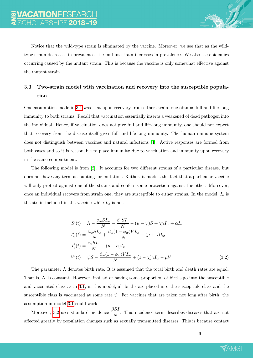

Notice that the wild-type strain is eliminated by the vaccine. Moreover, we see that as the wildtype strain decreases in prevalence, the mutant strain increases in prevalence. We also see epidemics occurring caused by the mutant strain. This is because the vaccine is only somewhat effective against the mutant strain.

# 3.3 Two-strain model with vaccination and recovery into the susceptible population

One assumption made in [3.1](#page-7-0) was that upon recovery from either strain, one obtains full and life-long immunity to both strains. Recall that vaccination essentially inserts a weakened of dead pathogen into the individual. Hence, if vaccination does not give full and life-long immunity, one should not expect that recovery from the disease itself gives full and life-long immunity. The human immune system does not distinguish between vaccines and natural infections [\[4\]](#page-16-4). Active responses are formed from both cases and so it is reasonable to place immunity due to vaccination and immunity upon recovery in the same compartment.

The following model is from [\[2\]](#page-16-3). It accounts for two different strains of a particular disease, but does not have any term accounting for mutation. Rather, it models the fact that a particular vaccine will only protect against one of the strains and confers some protection against the other. Moreover, once an individual recovers from strain one, they are susceptible to either strains. In the model,  $I_v$  is the strain included in the vaccine while  $I_w$  is not.

$$
S'(t) = \Lambda - \frac{\beta_w S I_w}{N} - \frac{\beta_v S I_v}{N} - (\mu + \psi) S + \chi \gamma I_w + \alpha I_v
$$
  
\n
$$
I'_w(t) = \frac{\beta_w S I_w}{N} + \frac{\beta_w (1 - \phi_w) V I_w}{N} - (\mu + \gamma) I_w
$$
  
\n
$$
I'_v(t) = \frac{\beta_v S I_v}{N} - (\mu + \alpha) I_v
$$
  
\n
$$
V'(t) = \psi S - \frac{\beta_w (1 - \phi_w) V I_w}{N} + (1 - \chi) \gamma I_w - \mu V
$$
\n(3.2)

The parameter  $\Lambda$  denotes birth rate. It is assumed that the total birth and death rates are equal. That is, N is constant. However, instead of having some proportion of births go into the susceptible and vaccinated class as in [3.1,](#page-7-0) in this model, all births are placed into the susceptible class and the susceptible class is vaccinated at some rate  $\psi$ . For vaccines that are taken not long after birth, the assumption in model [3.1](#page-7-0) could work.

Moreover, [3.2](#page-9-0) uses standard incidence  $\frac{\beta SI}{N}$ . This incidence term describes diseases that are not affected greatly by population changes such as sexually transmitted diseases. This is because contact

<span id="page-9-0"></span>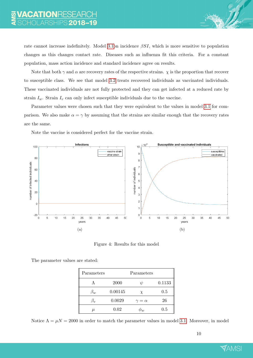rate cannot increase indefinitely. Model [3.1o](#page-7-0)n incidence  $\beta SI$ , which is more sensitive to population changes as this changes contact rate. Diseases such as influenza fit this criteria. For a constant population, mass action incidence and standard incidence agree on results.

Note that both  $\gamma$  and  $\alpha$  are recovery rates of the respective strains.  $\chi$  is the proportion that recover to susceptible class. We see that model [3.2](#page-9-0) treats recovered individuals as vaccinated individuals. These vaccinated individuals are not fully protected and they can get infected at a reduced rate by strain  $I_w$ . Strain  $I_v$  can only infect susceptible individuals due to the vaccine.

Parameter values were chosen such that they were equivalent to the values in model [3.1](#page-7-0) for comparison. We also make  $\alpha = \gamma$  by assuming that the strains are similar enough that the recovery rates are the same.

Note the vaccine is considered perfect for the vaccine strain.

<span id="page-10-0"></span>

Figure 4: Results for this model

| The parameter values are stated: |  |  |  |
|----------------------------------|--|--|--|
|----------------------------------|--|--|--|

| Parameters |         | Parameters        |        |
|------------|---------|-------------------|--------|
|            | 2000    |                   | 0.1133 |
| $\beta_w$  | 0.00145 | X                 | 0.5    |
| $\beta_v$  | 0.0029  | $\gamma = \alpha$ | 26     |
| $\mu$      | 0.02    | $\mathcal{P}u$    | 0.5    |

Notice  $\Lambda = \mu N = 2000$  in order to match the parameter values in model [3.1.](#page-7-0) Moreover, in model

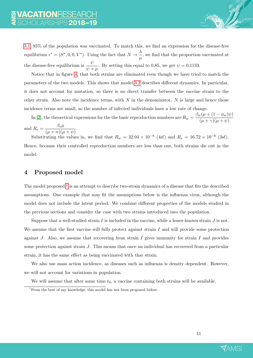[3.1,](#page-7-0) 85% of the population was vaccinated. To match this, we find an expression for the disease-free equilibrium  $\epsilon^* = (S^*, 0, 0, V^*)$ . Using the fact that  $N \to \frac{\lambda}{\epsilon}$  $\frac{\ldots}{\mu}$ , we find that the proportion vaccinated at the disease-free equilibrium is  $\frac{\psi}{\psi + \mu}$ . By setting this equal to 0.85, we get  $\psi = 0.1133$ .

Notice that in figure [4,](#page-10-0) that both strains are eliminated even though we have tried to match the parameters of the two models. This shows that model [3.2](#page-9-0) describes different dynamics. In particular, it does not account for mutation, so there is no direct transfer between the vaccine strain to the other strain. Also note the incidence terms, with  $N$  in the denominator.  $N$  is large and hence those incidence terms are small, so the number of infected individuals have a low rate of change.

In [\[2\]](#page-16-3), the theoretical expressions for the the basic reproduction numbers are  $R_w = \frac{\beta_w(\mu + (1 - \phi_w)\psi)}{(\mu + \alpha)(\mu + \alpha)}$  $(\mu + \gamma)(\mu + \psi)$ and  $R_v = \frac{\beta_v \mu}{(v + \epsilon)^2}$ 

 $\frac{\rho v \mu}{(\mu + \alpha)(\mu + \psi)}.$ 

Substituting the values in, we find that  $R_w = 32.04 \times 10^{-6}$  (4sf) and  $R_v = 16.72 \times 10^{-6}$  (3sf). Hence, because their controlled reproduction numbers are less than one, both strains die out in the model.

## 4 Proposed model

The model proposed  $^1$  $^1$  is an attempt to describe two-strain dynamics of a disease that fits the described assumptions. One example that may fit the assumptions below is the influenza virus, although the model does not include the latent period. We combine different properties of the models studied in the previous sections and consider the case with two strains introduced into the population.

Suppose that a well-studied strain  $I$  is included in the vaccine, while a lesser-known strain  $J$  is not. We assume that the first vaccine will fully protect against strain  $I$  and will provide some protection against J. Also, we assume that recovering from strain I gives immunity for strain I and provides some protection against strain J. This means that once an individual has recovered from a particular strain, it has the same effect as being vaccinated with that strain.

We also use mass action incidence, as diseases such as influenza is density dependent. However, we will not account for variations in population.

We will assume that after some time  $t_0$ , a vaccine containing both strains will be available.



<span id="page-11-0"></span><sup>&</sup>lt;sup>1</sup>From the best of my knowledge, this model has not been proposed before.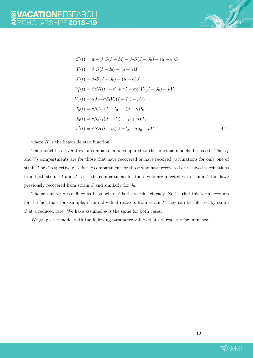

$$
S'(t) = \Lambda - \beta_1 S(I + I_0) - \beta_2 S(J + J_0) - (\mu + \psi)S
$$
  
\n
$$
I'(t) = \beta_1 S(I + I_0) - (\mu + \gamma)I
$$
  
\n
$$
J'(t) = \beta_2 S(J + J_0) - (\mu + \alpha)J
$$
  
\n
$$
V'_I(t) = \psi S H(t_0 - t) + \gamma I - \sigma \beta_2 V_I (J + J_0) - \mu V_I
$$
  
\n
$$
V'_J(t) = \alpha J - \sigma \beta_1 V_J (I + I_0) - \mu V_J
$$
  
\n
$$
I'_0(t) = \sigma \beta_1 V_J (I + I_0) - (\mu + \gamma) I_0
$$
  
\n
$$
J'_0(t) = \sigma \beta_2 V_I (J + J_0) - (\mu + \alpha) J_0
$$
  
\n
$$
V'(t) = \psi S H(t - t_0) + \gamma I_0 + \alpha J_0 - \mu V
$$
\n(4.1)

where  $H$  is the heaviside step function.

The model has several extra compartments compared to the previous models discussed. The  $V_I$ and  $V_J$  compartments are for those that have recovered or have received vaccinations for only one of strain  $I$  or  $J$  respectively.  $V$  is the compartment for those who have recovered or received vaccinations from both strains I and J.  $I_0$  is the compartment for those who are infected with strain I, but have previously recovered from strain  $J$  and similarly for  $J_0$ .

The parameter  $\sigma$  is defined as  $1-\phi$ , where  $\phi$  is the vaccine efficacy. Notice that this term accounts for the fact that, for example, if an individual recovers from strain  $I$ , they can be infected by strain J at a reduced rate. We have assumed  $\phi$  is the same for both cases.

We graph the model with the following parameter values that are realistic for influenza:

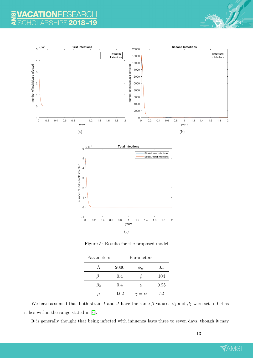### 19 18  $\Omega$

<span id="page-13-1"></span><span id="page-13-0"></span>

Figure 5: Results for the proposed model

| Parameters |      | Parameters        |      |
|------------|------|-------------------|------|
|            | 2000 | $\phi_w$          | 0.5  |
|            | 0.4  | V                 | 104  |
| 52         | 0.4  | $\chi$            | 0.25 |
| $\mu$      | 0.02 | $\gamma = \alpha$ | 52   |

We have assumed that both strain I and J have the same  $\beta$  values.  $\beta_1$  and  $\beta_2$  were set to 0.4 as it lies within the range stated in [\[6\]](#page-16-5).

It is generally thought that being infected with influenza lasts three to seven days, though it may

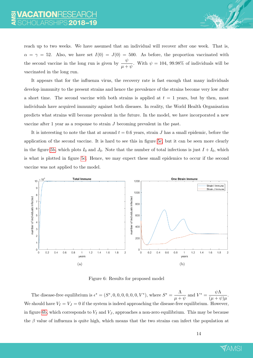reach up to two weeks. We have assumed that an individual will recover after one week. That is,  $\alpha = \gamma = 52$ . Also, we have set  $I(0) = J(0) = 500$ . As before, the proportion vaccinated with the second vaccine in the long run is given by  $\frac{\psi}{\mu + \psi}$ . With  $\psi = 104$ , 99.98% of individuals will be vaccinated in the long run.

It appears that for the influenza virus, the recovery rate is fast enough that many individuals develop immunity to the present strains and hence the prevalence of the strains become very low after a short time. The second vaccine with both strains is applied at  $t = 1$  years, but by then, most individuals have acquired immunity against both diseases. In reality, the World Health Organisation predicts what strains will become prevalent in the future. In the model, we have incorporated a new vaccine after 1 year as a response to strain J becoming prevalent in the past.

It is interesting to note the that at around  $t = 0.6$  years, strain J has a small epidemic, before the application of the second vaccine. It is hard to see this in figure [5c,](#page-13-0) but it can be seen more clearly in the figure [5b,](#page-13-1) which plots  $I_0$  and  $J_0$ . Note that the number of total infections is just  $I + I_0$ , which is what is plotted in figure [5c.](#page-13-0) Hence, we may expect these small epidemics to occur if the second vaccine was not applied to the model.

<span id="page-14-0"></span>

Figure 6: Results for proposed model

The disease-free equilibrium is  $\epsilon^* = (S^*, 0, 0, 0, 0, 0, 0, V^*)$ , where  $S^* = \frac{\Lambda}{\sqrt{2\pi}}$  $\frac{\Lambda}{\mu+\psi}$  and  $V^* = \frac{\psi\Lambda}{(\mu+\psi)}$  $(\mu + \psi)\mu$ . We should have  $V_I = V_J = 0$  if the system is indeed approaching the disease-free equilibrium. However, in figure [6b,](#page-14-0) which corresponds to  $V_I$  and  $V_J$ , approaches a non-zero equilibrium. This may be because the  $\beta$  value of influenza is quite high, which means that the two strains can infect the population at

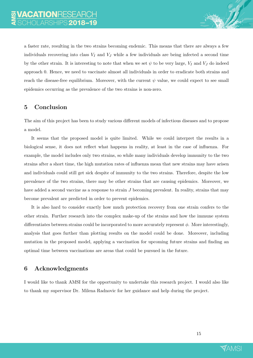

a faster rate, resulting in the two strains becoming endemic. This means that there are always a few individuals recovering into class  $V_I$  and  $V_J$  while a few individuals are being infected a second time by the other strain. It is interesting to note that when we set  $\psi$  to be very large,  $V_I$  and  $V_J$  do indeed approach 0. Hence, we need to vaccinate almost all individuals in order to eradicate both strains and reach the disease-free equilibrium. Moreover, with the current  $\psi$  value, we could expect to see small epidemics occurring as the prevalence of the two strains is non-zero.

## 5 Conclusion

The aim of this project has been to study various different models of infectious diseases and to propose a model.

It seems that the proposed model is quite limited. While we could interpret the results in a biological sense, it does not reflect what happens in reality, at least in the case of influenza. For example, the model includes only two strains, so while many individuals develop immunity to the two strains after a short time, the high mutation rates of influenza mean that new strains may have arisen and individuals could still get sick despite of immunity to the two strains. Therefore, despite the low prevalence of the two strains, there may be other strains that are causing epidemics. Moreover, we have added a second vaccine as a response to strain J becoming prevalent. In reality, strains that may become prevalent are predicted in order to prevent epidemics.

It is also hard to consider exactly how much protection recovery from one strain confers to the other strain. Further research into the complex make-up of the strains and how the immune system differentiates between strains could be incorporated to more accurately represent  $\phi$ . More interestingly, analysis that goes further than plotting results on the model could be done. Moreover, including mutation in the proposed model, applying a vaccination for upcoming future strains and finding an optimal time between vaccinations are areas that could be pursued in the future.

## 6 Acknowledgments

I would like to thank AMSI for the opportunity to undertake this research project. I would also like to thank my supervisor Dr. Milena Radnovic for her guidance and help during the project.